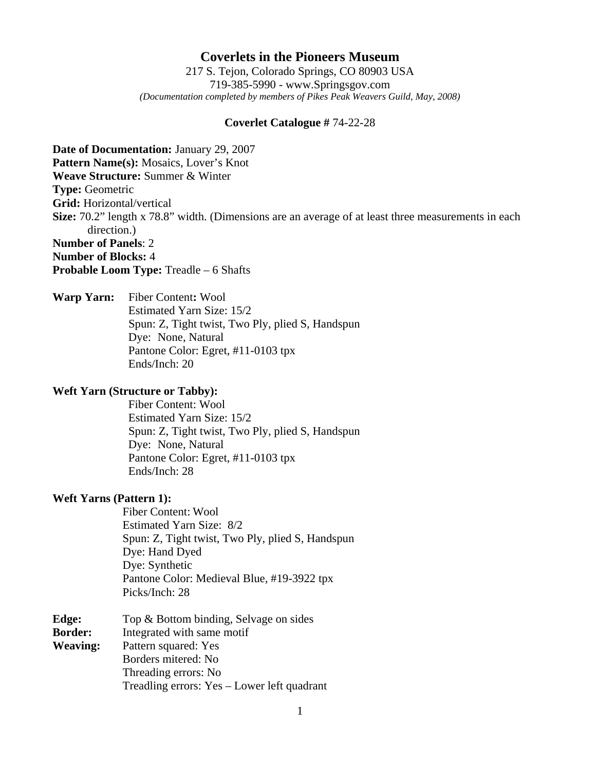# **Coverlets in the Pioneers Museum**

217 S. Tejon, Colorado Springs, CO 80903 USA 719-385-5990 - www.Springsgov.com *(Documentation completed by members of Pikes Peak Weavers Guild, May, 2008)* 

### **Coverlet Catalogue #** 74-22-28

**Date of Documentation:** January 29, 2007 **Pattern Name(s):** Mosaics, Lover's Knot **Weave Structure:** Summer & Winter **Type:** Geometric **Grid:** Horizontal/vertical **Size:** 70.2" length x 78.8" width. (Dimensions are an average of at least three measurements in each direction.) **Number of Panels**: 2 **Number of Blocks:** 4 **Probable Loom Type:** Treadle – 6 Shafts

**Warp Yarn:** Fiber Content**:** Wool Estimated Yarn Size: 15/2 Spun: Z, Tight twist, Two Ply, plied S, Handspun Dye: None, Natural Pantone Color: Egret, #11-0103 tpx Ends/Inch: 20

### **Weft Yarn (Structure or Tabby):**

 Fiber Content: Wool Estimated Yarn Size: 15/2 Spun: Z, Tight twist, Two Ply, plied S, Handspun Dye: None, Natural Pantone Color: Egret, #11-0103 tpx Ends/Inch: 28

#### **Weft Yarns (Pattern 1):**

 Fiber Content: Wool Estimated Yarn Size: 8/2 Spun: Z, Tight twist, Two Ply, plied S, Handspun Dye: Hand Dyed Dye: Synthetic Pantone Color: Medieval Blue, #19-3922 tpx Picks/Inch: 28

| Edge:           | Top & Bottom binding, Selvage on sides      |
|-----------------|---------------------------------------------|
| <b>Border:</b>  | Integrated with same motif                  |
| <b>Weaving:</b> | Pattern squared: Yes                        |
|                 | Borders mitered: No                         |
|                 | Threading errors: No                        |
|                 | Treadling errors: Yes – Lower left quadrant |